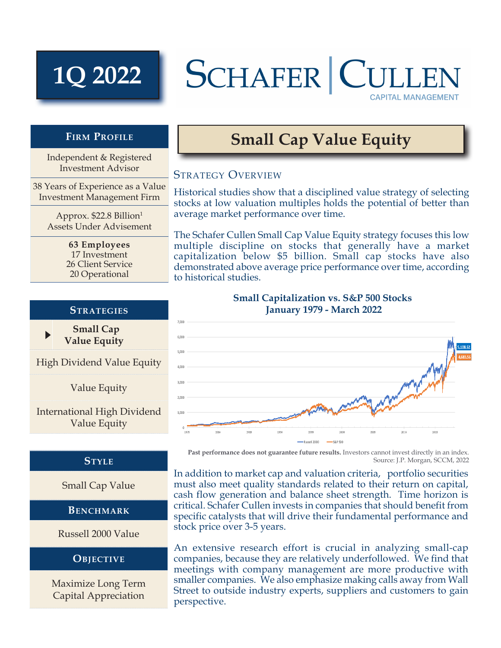# **1Q 2022**

# SCHAFER CULL **CAPITAL MANAGEMENT**

## **Firm Profile**

Independent & Registered Investment Advisor

38 Years of Experience as a Value Investment Management Firm

> Approx. \$22.8 Billion1 Assets Under Advisement

> > **63 Employees** 17 Investment 26 Client Service 20 Operational

### **Strategies**

 **Small Cap Value Equity**

 $\blacktriangleright$ 

High Dividend Value Equity

Value Equity

International High Dividend Value Equity

## **Style**

Small Cap Value

**BENCHMARK** 

Russell 2000 Value

#### **Objective**

Maximize Long Term Capital Appreciation

# **Small Cap Value Equity**

## STRATEGY OVERVIEW

Historical studies show that a disciplined value strategy of selecting stocks at low valuation multiples holds the potential of better than average market performance over time.

The Schafer Cullen Small Cap Value Equity strategy focuses this low multiple discipline on stocks that generally have a market capitalization below \$5 billion. Small cap stocks have also demonstrated above average price performance over time, according to historical studies.



**Past performance does not guarantee future results.** Investors cannot invest directly in an index. Source: J.P. Morgan, SCCM, 2022

In addition to market cap and valuation criteria, portfolio securities must also meet quality standards related to their return on capital, cash flow generation and balance sheet strength. Time horizon is critical. Schafer Cullen invests in companies that should benefit from specific catalysts that will drive their fundamental performance and stock price over 3-5 years.

An extensive research effort is crucial in analyzing small-cap companies, because they are relatively underfollowed. We find that meetings with company management are more productive with smaller companies. We also emphasize making calls away from Wall Street to outside industry experts, suppliers and customers to gain perspective.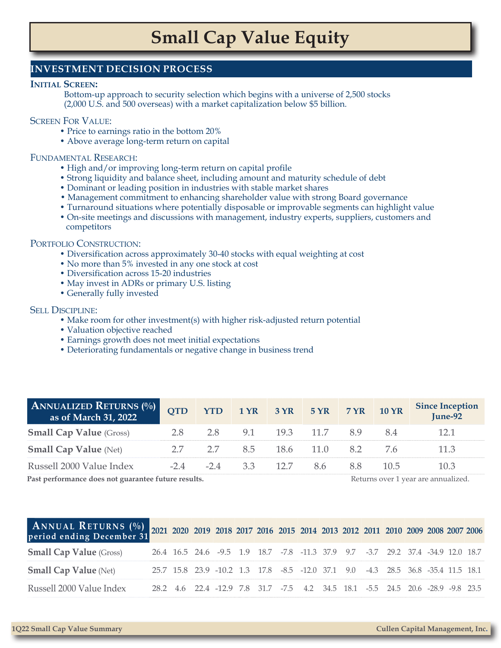# **Small Cap Value Equity**

### **INVESTMENT DECISION PROCESS**

#### **Initial Screen:**

Bottom-up approach to security selection which begins with a universe of 2,500 stocks (2,000 U.S. and 500 overseas) with a market capitalization below \$5 billion.

#### Screen For Value:

- Price to earnings ratio in the bottom 20%
- Above average long-term return on capital

#### Fundamental Research:

- High and/or improving long-term return on capital profile
- Strong liquidity and balance sheet, including amount and maturity schedule of debt
- Dominant or leading position in industries with stable market shares
- Management commitment to enhancing shareholder value with strong Board governance
- Turnaround situations where potentially disposable or improvable segments can highlight value
- On-site meetings and discussions with management, industry experts, suppliers, customers and competitors

#### PORTFOLIO CONSTRUCTION:

- Diversification across approximately 30-40 stocks with equal weighting at cost
- No more than 5% invested in any one stock at cost
- Diversification across 15-20 industries
- May invest in ADRs or primary U.S. listing
- Generally fully invested

#### Sell Discipline:

- Make room for other investment(s) with higher risk-adjusted return potential
- Valuation objective reached
- Earnings growth does not meet initial expectations
- Deteriorating fundamentals or negative change in business trend

| <b>ANNUALIZED RETURNS (%)</b><br>as of March 31, 2022 | <b>OTD</b> |                                                                                                                                                                                                                                                                                                  |                                        |                       |  | <b>Since Inception</b><br>$June-92$ |
|-------------------------------------------------------|------------|--------------------------------------------------------------------------------------------------------------------------------------------------------------------------------------------------------------------------------------------------------------------------------------------------|----------------------------------------|-----------------------|--|-------------------------------------|
| <b>Small Cap Value</b> (Gross)                        | 28         | 28                                                                                                                                                                                                                                                                                               |                                        | 9.1 19.3 11.7 8.9 8.4 |  |                                     |
| <b>Small Cap Value (Net)</b>                          |            |                                                                                                                                                                                                                                                                                                  | 2.7 2.7 8.5 18.6 11.0 8.2 7.6          |                       |  | 11.3                                |
| Russell 2000 Value Index                              |            |                                                                                                                                                                                                                                                                                                  | $-24$ $-24$ $33$ $127$ $86$ $88$ $105$ |                       |  | 10.3                                |
| .                                                     |            | $\mathbf{D}$ and $\mathbf{I}$ and $\mathbf{I}$ and $\mathbf{I}$ and $\mathbf{I}$ and $\mathbf{I}$ and $\mathbf{I}$ and $\mathbf{I}$ and $\mathbf{I}$ and $\mathbf{I}$ and $\mathbf{I}$ and $\mathbf{I}$ and $\mathbf{I}$ and $\mathbf{I}$ and $\mathbf{I}$ and $\mathbf{I}$ and $\mathbf{I}$ and |                                        |                       |  |                                     |

**Past performance does not guarantee future results.** The set of the set of the set of the set of the set of the set of the set of the set of the set of the set of the set of the set of the set of the set of the set of the

| ANNUAL RETURNS (%) 2021 2020 2019 2018 2017 2016 2015 2014 2013 2012 2011 2010 2009 2008 2007 2006 period ending December 31 |  |                                                                                  |  |  |  |  |  |  |
|------------------------------------------------------------------------------------------------------------------------------|--|----------------------------------------------------------------------------------|--|--|--|--|--|--|
| <b>Small Cap Value</b> (Gross)                                                                                               |  | 26.4 16.5 24.6 -9.5 1.9 18.7 -7.8 -11.3 37.9 9.7 -3.7 29.2 37.4 -34.9 12.0 18.7  |  |  |  |  |  |  |
| <b>Small Cap Value</b> (Net)                                                                                                 |  | 25.7 15.8 23.9 -10.2 1.3 17.8 -8.5 -12.0 37.1 9.0 -4.3 28.5 36.8 -35.4 11.5 18.1 |  |  |  |  |  |  |
| Russell 2000 Value Index                                                                                                     |  | 28.2 4.6 22.4 -12.9 7.8 31.7 -7.5 4.2 34.5 18.1 -5.5 24.5 20.6 -28.9 -9.8 23.5   |  |  |  |  |  |  |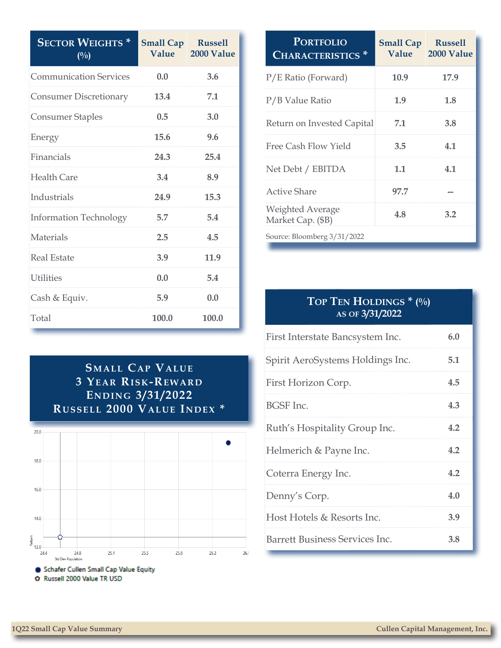| <b>SECTOR WEIGHTS*</b><br>$($ %) | <b>Small Cap</b><br>Value | <b>Russell</b><br>2000 Value |
|----------------------------------|---------------------------|------------------------------|
| <b>Communication Services</b>    | 0.0                       | 3.6                          |
| <b>Consumer Discretionary</b>    | 13.4                      | 7.1                          |
| <b>Consumer Staples</b>          | 0.5                       | 3.0                          |
| Energy                           | 15.6                      | 9.6                          |
| Financials                       | 24.3                      | 25.4                         |
| <b>Health Care</b>               | 3.4                       | 8.9                          |
| Industrials                      | 24.9                      | 15.3                         |
| <b>Information Technology</b>    | 5.7                       | 5.4                          |
| Materials                        | 2.5                       | 4.5                          |
| <b>Real Estate</b>               | 3.9                       | 11.9                         |
| <b>Utilities</b>                 | 0.0                       | 5.4                          |
| Cash & Equiv.                    | 5.9                       | 0.0                          |
| Total                            | 100.0                     | 100.0                        |



| <b>PORTFOLIO</b><br><b>CHARACTERISTICS</b>   | <b>Small Cap</b><br>Value | <b>Russell</b><br>2000 Value |  |  |
|----------------------------------------------|---------------------------|------------------------------|--|--|
| P/E Ratio (Forward)                          | 10.9                      | 17.9                         |  |  |
| P/B Value Ratio                              | 1.9                       | 1.8                          |  |  |
| Return on Invested Capital                   | 7.1                       | 3.8                          |  |  |
| Free Cash Flow Yield                         | 3.5                       | 4.1                          |  |  |
| Net Debt / EBITDA                            | 1.1                       | 4.1                          |  |  |
| Active Share                                 | 97.7                      |                              |  |  |
| <b>Weighted Average</b><br>Market Cap. (\$B) | 4.8                       | 3.2                          |  |  |
| Source: Bloomberg 3/31/2022                  |                           |                              |  |  |

# **Top Ten Holdings \* (%) as of 3/31/2022**

| First Interstate Bancsystem Inc. | 6.0 |
|----------------------------------|-----|
| Spirit AeroSystems Holdings Inc. | 5.1 |
| First Horizon Corp.              | 4.5 |
| <b>BGSF</b> Inc.                 | 4.3 |
| Ruth's Hospitality Group Inc.    | 4.2 |
| Helmerich & Payne Inc.           | 4.2 |
| Coterra Energy Inc.              | 4.2 |
| Denny's Corp.                    | 4.0 |
| Host Hotels & Resorts Inc.       | 3.9 |
| Barrett Business Services Inc.   | 3.8 |